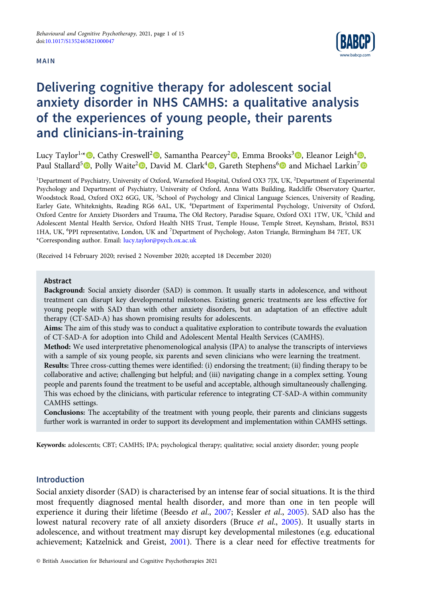## MAIN



# Delivering cognitive therapy for adolescent social anxiety disorder in NHS CAMHS: a qualitative analysis of the experiences of young people, their parents and clinicians-in-training

Lucy Taylor1, \* [,](https://orcid.org/0000-0001-9860-5363) Cathy Creswell<sup>2</sup> , Samantha Pearcey<sup>2</sup> , Emma Brooks<sup>3</sup> , Eleanor Leigh<sup>4</sup> [,](https://orcid.org/0000-0003-2756-3770) Paul Stallard<sup>5</sup> **D**. Polly Waite<sup>2</sup> **D.** David M. Clark<sup>4</sup> **D.** Gareth Stephens<sup>6</sup> **D** and Michael Larkin<sup>7</sup> **D** 

<sup>1</sup>Department of Psychiatry, University of Oxford, Warneford Hospital, Oxford OX3 7JX, UK, <sup>2</sup>Department of Experimental Psychology and Department of Psychiatry, University of Oxford, Anna Watts Building, Radcliffe Observatory Quarter, Woodstock Road, Oxford OX2 6GG, UK, <sup>3</sup>School of Psychology and Clinical Language Sciences, University of Reading, Earley Gate, Whiteknights, Reading RG6 6AL, UK, <sup>4</sup> Department of Experimental Psychology, University of Oxford, Oxford Centre for Anxiety Disorders and Trauma, The Old Rectory, Paradise Square, Oxford OX1 1TW, UK, <sup>5</sup>Child and Adolescent Mental Health Service, Oxford Health NHS Trust, Temple House, Temple Street, Keynsham, Bristol, BS31 1HA, UK, <sup>6</sup> PPI representative, London, UK and <sup>7</sup> Department of Psychology, Aston Triangle, Birmingham B4 7ET, UK \*Corresponding author. Email: [lucy.taylor@psych.ox.ac.uk](mailto:lucy.taylor@psych.ox.ac.uk)

(Received 14 February 2020; revised 2 November 2020; accepted 18 December 2020)

#### Abstract

Background: Social anxiety disorder (SAD) is common. It usually starts in adolescence, and without treatment can disrupt key developmental milestones. Existing generic treatments are less effective for young people with SAD than with other anxiety disorders, but an adaptation of an effective adult therapy (CT-SAD-A) has shown promising results for adolescents.

Aims: The aim of this study was to conduct a qualitative exploration to contribute towards the evaluation of CT-SAD-A for adoption into Child and Adolescent Mental Health Services (CAMHS).

Method: We used interpretative phenomenological analysis (IPA) to analyse the transcripts of interviews with a sample of six young people, six parents and seven clinicians who were learning the treatment.

Results: Three cross-cutting themes were identified: (i) endorsing the treatment; (ii) finding therapy to be collaborative and active; challenging but helpful; and (iii) navigating change in a complex setting. Young people and parents found the treatment to be useful and acceptable, although simultaneously challenging. This was echoed by the clinicians, with particular reference to integrating CT-SAD-A within community CAMHS settings.

Conclusions: The acceptability of the treatment with young people, their parents and clinicians suggests further work is warranted in order to support its development and implementation within CAMHS settings.

Keywords: adolescents; CBT; CAMHS; IPA; psychological therapy; qualitative; social anxiety disorder; young people

# Introduction

Social anxiety disorder (SAD) is characterised by an intense fear of social situations. It is the third most frequently diagnosed mental health disorder, and more than one in ten people will experience it during their lifetime (Beesdo et al., [2007;](#page-13-0) Kessler et al., [2005](#page-13-0)). SAD also has the lowest natural recovery rate of all anxiety disorders (Bruce *et al.*, [2005\)](#page-13-0). It usually starts in adolescence, and without treatment may disrupt key developmental milestones (e.g. educational achievement; Katzelnick and Greist, [2001\)](#page-13-0). There is a clear need for effective treatments for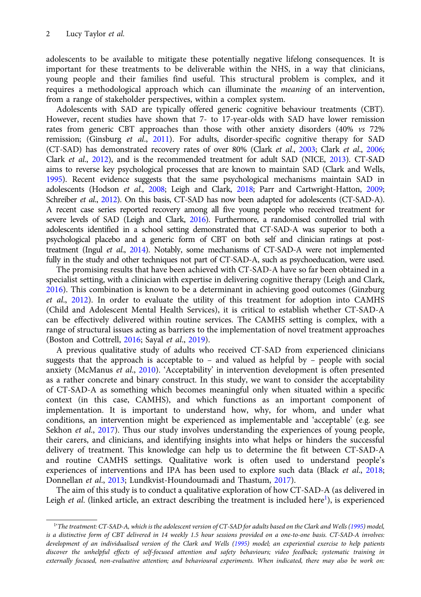adolescents to be available to mitigate these potentially negative lifelong consequences. It is important for these treatments to be deliverable within the NHS, in a way that clinicians, young people and their families find useful. This structural problem is complex, and it requires a methodological approach which can illuminate the meaning of an intervention, from a range of stakeholder perspectives, within a complex system.

Adolescents with SAD are typically offered generic cognitive behaviour treatments (CBT). However, recent studies have shown that 7- to 17-year-olds with SAD have lower remission rates from generic CBT approaches than those with other anxiety disorders (40% vs 72% remission; (Ginsburg et al.,  $2011$ ). For adults, disorder-specific cognitive therapy for SAD (CT-SAD) has demonstrated recovery rates of over 80% (Clark et al., [2003](#page-13-0); Clark et al., [2006](#page-13-0); Clark et al., [2012\)](#page-13-0), and is the recommended treatment for adult SAD (NICE, [2013](#page-14-0)). CT-SAD aims to reverse key psychological processes that are known to maintain SAD (Clark and Wells, [1995](#page-13-0)). Recent evidence suggests that the same psychological mechanisms maintain SAD in adolescents (Hodson et al., [2008;](#page-13-0) Leigh and Clark, [2018;](#page-14-0) Parr and Cartwright-Hatton, [2009](#page-14-0); Schreiber et al., [2012](#page-14-0)). On this basis, CT-SAD has now been adapted for adolescents (CT-SAD-A). A recent case series reported recovery among all five young people who received treatment for severe levels of SAD (Leigh and Clark, [2016](#page-14-0)). Furthermore, a randomised controlled trial with adolescents identified in a school setting demonstrated that CT-SAD-A was superior to both a psychological placebo and a generic form of CBT on both self and clinician ratings at posttreatment (Ingul et al., [2014\)](#page-13-0). Notably, some mechanisms of CT-SAD-A were not implemented fully in the study and other techniques not part of CT-SAD-A, such as psychoeducation, were used.

The promising results that have been achieved with CT-SAD-A have so far been obtained in a specialist setting, with a clinician with expertise in delivering cognitive therapy (Leigh and Clark, [2016\)](#page-14-0). This combination is known to be a determinant in achieving good outcomes (Ginzburg et al., [2012](#page-13-0)). In order to evaluate the utility of this treatment for adoption into CAMHS (Child and Adolescent Mental Health Services), it is critical to establish whether CT-SAD-A can be effectively delivered within routine services. The CAMHS setting is complex, with a range of structural issues acting as barriers to the implementation of novel treatment approaches (Boston and Cottrell, [2016;](#page-13-0) Sayal et al., [2019](#page-14-0)).

A previous qualitative study of adults who received CT-SAD from experienced clinicians suggests that the approach is acceptable to – and valued as helpful by – people with social anxiety (McManus et al., [2010](#page-14-0)). 'Acceptability' in intervention development is often presented as a rather concrete and binary construct. In this study, we want to consider the acceptability of CT-SAD-A as something which becomes meaningful only when situated within a specific context (in this case, CAMHS), and which functions as an important component of implementation. It is important to understand how, why, for whom, and under what conditions, an intervention might be experienced as implementable and 'acceptable' (e.g. see Sekhon et al., [2017](#page-14-0)). Thus our study involves understanding the experiences of young people, their carers, and clinicians, and identifying insights into what helps or hinders the successful delivery of treatment. This knowledge can help us to determine the fit between CT-SAD-A and routine CAMHS settings. Qualitative work is often used to understand people's experiences of interventions and IPA has been used to explore such data (Black et al., [2018](#page-13-0); Donnellan et al., [2013](#page-13-0); Lundkvist-Houndoumadi and Thastum, [2017\)](#page-14-0).

The aim of this study is to conduct a qualitative exploration of how CT-SAD-A (as delivered in Leigh et al. (linked article, an extract describing the treatment is included here<sup>1</sup>), is experienced

<sup>1</sup> 'The treatment: CT-SAD-A, which is the adolescent version of CT-SAD for adults based on the Clark and Wells ([1995\)](#page-13-0) model, is a distinctive form of CBT delivered in 14 weekly 1.5 hour sessions provided on a one-to-one basis. CT-SAD-A involves: development of an individualised version of the Clark and Wells ([1995\)](#page-13-0) model; an experiential exercise to help patients discover the unhelpful effects of self-focused attention and safety behaviours; video feedback; systematic training in externally focused, non-evaluative attention; and behavioural experiments. When indicated, there may also be work on: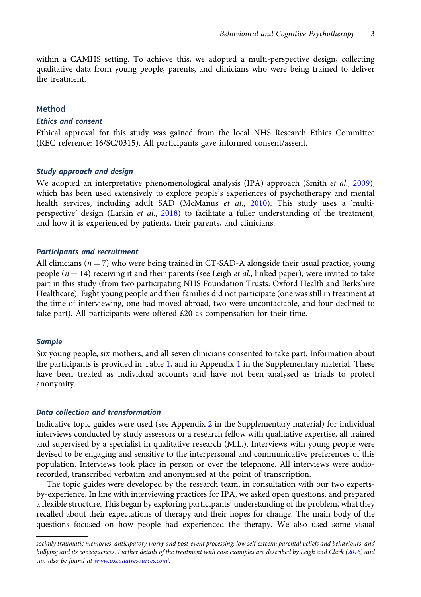within a CAMHS setting. To achieve this, we adopted a multi-perspective design, collecting qualitative data from young people, parents, and clinicians who were being trained to deliver the treatment.

## Method

#### Ethics and consent

Ethical approval for this study was gained from the local NHS Research Ethics Committee (REC reference: 16/SC/0315). All participants gave informed consent/assent.

#### Study approach and design

We adopted an interpretative phenomenological analysis (IPA) approach (Smith et al., [2009](#page-14-0)), which has been used extensively to explore people's experiences of psychotherapy and mental health services, including adult SAD (McManus et al., [2010](#page-14-0)). This study uses a 'multi-perspective' design (Larkin et al., [2018](#page-14-0)) to facilitate a fuller understanding of the treatment, and how it is experienced by patients, their parents, and clinicians.

## Participants and recruitment

All clinicians ( $n = 7$ ) who were being trained in CT-SAD-A alongside their usual practice, young people ( $n = 14$ ) receiving it and their parents (see Leigh *et al.*, linked paper), were invited to take part in this study (from two participating NHS Foundation Trusts: Oxford Health and Berkshire Healthcare). Eight young people and their families did not participate (one was still in treatment at the time of interviewing, one had moved abroad, two were uncontactable, and four declined to take part). All participants were offered  $£20$  as compensation for their time.

#### **Sample**

Six young people, six mothers, and all seven clinicians consented to take part. Information about the participants is provided in Table [1,](#page-3-0) and in Appendix [1](https://doi.org/10.1017/S1352465821000047) in the Supplementary material. These have been treated as individual accounts and have not been analysed as triads to protect anonymity.

# Data collection and transformation

Indicative topic guides were used (see Appendix [2](https://doi.org/10.1017/S1352465821000047) in the Supplementary material) for individual interviews conducted by study assessors or a research fellow with qualitative expertise, all trained and supervised by a specialist in qualitative research (M.L.). Interviews with young people were devised to be engaging and sensitive to the interpersonal and communicative preferences of this population. Interviews took place in person or over the telephone. All interviews were audiorecorded, transcribed verbatim and anonymised at the point of transcription.

The topic guides were developed by the research team, in consultation with our two expertsby-experience. In line with interviewing practices for IPA, we asked open questions, and prepared a flexible structure. This began by exploring participants' understanding of the problem, what they recalled about their expectations of therapy and their hopes for change. The main body of the questions focused on how people had experienced the therapy. We also used some visual

socially traumatic memories; anticipatory worry and post-event processing; low self-esteem; parental beliefs and behaviours; and bullying and its consequences. Further details of the treatment with case examples are described by Leigh and Clark ([2016](#page-14-0)) and can also be found at [www.oxcadatresources.com](http://www.oxcadatresources.com)'.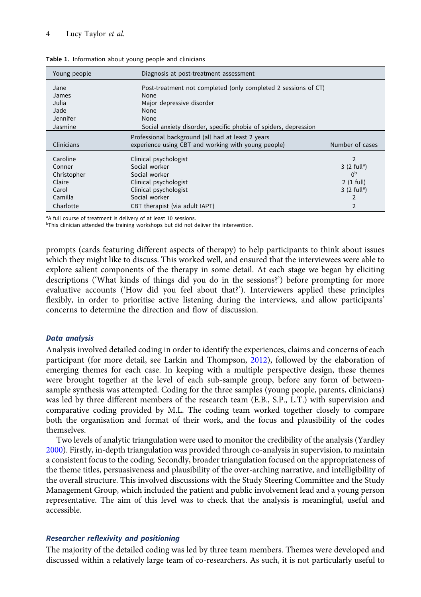# <span id="page-3-0"></span>4 Lucy Taylor et al.

| Young people    | Diagnosis at post-treatment assessment                          |                           |
|-----------------|-----------------------------------------------------------------|---------------------------|
| Jane            | Post-treatment not completed (only completed 2 sessions of CT)  |                           |
| James           | None                                                            |                           |
| Julia           | Major depressive disorder                                       |                           |
| Jade            | None                                                            |                           |
| <b>Jennifer</b> | None                                                            |                           |
| Jasmine         | Social anxiety disorder, specific phobia of spiders, depression |                           |
|                 | Professional background (all had at least 2 years               |                           |
| Clinicians      | experience using CBT and working with young people)             | Number of cases           |
| Caroline        | Clinical psychologist                                           | $\overline{2}$            |
| Conner          | Social worker                                                   | $3(2$ full <sup>a</sup> ) |
| Christopher     | Social worker                                                   | 0 <sub>p</sub>            |
| Claire          | Clinical psychologist                                           | $2(1$ full)               |
| Carol           | Clinical psychologist                                           | $3(2$ full <sup>a</sup> ) |
| Camilla         | Social worker                                                   | $\overline{2}$            |
| Charlotte       | CBT therapist (via adult IAPT)                                  | $\overline{2}$            |

Table 1. Information about young people and clinicians

<sup>a</sup>A full course of treatment is delivery of at least 10 sessions.

 $b$ This clinician attended the training workshops but did not deliver the intervention.

prompts (cards featuring different aspects of therapy) to help participants to think about issues which they might like to discuss. This worked well, and ensured that the interviewees were able to explore salient components of the therapy in some detail. At each stage we began by eliciting descriptions ('What kinds of things did you do in the sessions?') before prompting for more evaluative accounts ('How did you feel about that?'). Interviewers applied these principles flexibly, in order to prioritise active listening during the interviews, and allow participants' concerns to determine the direction and flow of discussion.

#### Data analysis

Analysis involved detailed coding in order to identify the experiences, claims and concerns of each participant (for more detail, see Larkin and Thompson, [2012](#page-14-0)), followed by the elaboration of emerging themes for each case. In keeping with a multiple perspective design, these themes were brought together at the level of each sub-sample group, before any form of betweensample synthesis was attempted. Coding for the three samples (young people, parents, clinicians) was led by three different members of the research team (E.B., S.P., L.T.) with supervision and comparative coding provided by M.L. The coding team worked together closely to compare both the organisation and format of their work, and the focus and plausibility of the codes themselves.

Two levels of analytic triangulation were used to monitor the credibility of the analysis (Yardley [2000\)](#page-14-0). Firstly, in-depth triangulation was provided through co-analysis in supervision, to maintain a consistent focus to the coding. Secondly, broader triangulation focused on the appropriateness of the theme titles, persuasiveness and plausibility of the over-arching narrative, and intelligibility of the overall structure. This involved discussions with the Study Steering Committee and the Study Management Group, which included the patient and public involvement lead and a young person representative. The aim of this level was to check that the analysis is meaningful, useful and accessible.

# Researcher reflexivity and positioning

The majority of the detailed coding was led by three team members. Themes were developed and discussed within a relatively large team of co-researchers. As such, it is not particularly useful to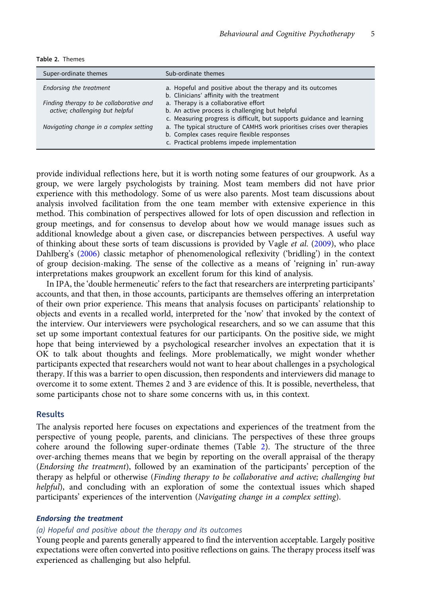| Table 2. Themes |
|-----------------|
|                 |

| Super-ordinate themes                                                      | Sub-ordinate themes                                                                                                                                                    |
|----------------------------------------------------------------------------|------------------------------------------------------------------------------------------------------------------------------------------------------------------------|
| Endorsing the treatment                                                    | a. Hopeful and positive about the therapy and its outcomes<br>b. Clinicians' affinity with the treatment                                                               |
| Finding therapy to be collaborative and<br>active; challenging but helpful | a. Therapy is a collaborative effort<br>b. An active process is challenging but helpful<br>c. Measuring progress is difficult, but supports guidance and learning      |
| Navigating change in a complex setting                                     | a. The typical structure of CAMHS work prioritises crises over therapies<br>b. Complex cases require flexible responses<br>c. Practical problems impede implementation |

provide individual reflections here, but it is worth noting some features of our groupwork. As a group, we were largely psychologists by training. Most team members did not have prior experience with this methodology. Some of us were also parents. Most team discussions about analysis involved facilitation from the one team member with extensive experience in this method. This combination of perspectives allowed for lots of open discussion and reflection in group meetings, and for consensus to develop about how we would manage issues such as additional knowledge about a given case, or discrepancies between perspectives. A useful way of thinking about these sorts of team discussions is provided by Vagle et al. [\(2009\)](#page-14-0), who place Dahlberg's ([2006\)](#page-13-0) classic metaphor of phenomenological reflexivity ('bridling') in the context of group decision-making. The sense of the collective as a means of 'reigning in' run-away interpretations makes groupwork an excellent forum for this kind of analysis.

In IPA, the 'double hermeneutic' refers to the fact that researchers are interpreting participants' accounts, and that then, in those accounts, participants are themselves offering an interpretation of their own prior experience. This means that analysis focuses on participants' relationship to objects and events in a recalled world, interpreted for the 'now' that invoked by the context of the interview. Our interviewers were psychological researchers, and so we can assume that this set up some important contextual features for our participants. On the positive side, we might hope that being interviewed by a psychological researcher involves an expectation that it is OK to talk about thoughts and feelings. More problematically, we might wonder whether participants expected that researchers would not want to hear about challenges in a psychological therapy. If this was a barrier to open discussion, then respondents and interviewers did manage to overcome it to some extent. Themes 2 and 3 are evidence of this. It is possible, nevertheless, that some participants chose not to share some concerns with us, in this context.

# Results

The analysis reported here focuses on expectations and experiences of the treatment from the perspective of young people, parents, and clinicians. The perspectives of these three groups cohere around the following super-ordinate themes (Table 2). The structure of the three over-arching themes means that we begin by reporting on the overall appraisal of the therapy (Endorsing the treatment), followed by an examination of the participants' perception of the therapy as helpful or otherwise (Finding therapy to be collaborative and active; challenging but helpful), and concluding with an exploration of some the contextual issues which shaped participants' experiences of the intervention (Navigating change in a complex setting).

# Endorsing the treatment

### (a) Hopeful and positive about the therapy and its outcomes

Young people and parents generally appeared to find the intervention acceptable. Largely positive expectations were often converted into positive reflections on gains. The therapy process itself was experienced as challenging but also helpful.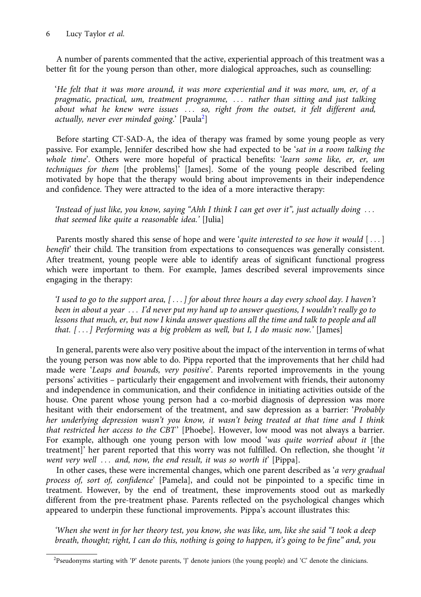# 6 Lucy Taylor et al.

A number of parents commented that the active, experiential approach of this treatment was a better fit for the young person than other, more dialogical approaches, such as counselling:

'He felt that it was more around, it was more experiential and it was more, um, er, of a pragmatic, practical, um, treatment programme, ... rather than sitting and just talking about what he knew were issues ... so, right from the outset, it felt different and, actually, never ever minded going.'  $\left[ \mathrm{Paula}^{2}\right]$ 

Before starting CT-SAD-A, the idea of therapy was framed by some young people as very passive. For example, Jennifer described how she had expected to be 'sat in a room talking the whole time'. Others were more hopeful of practical benefits: 'learn some like, er, er, um techniques for them [the problems]' [James]. Some of the young people described feeling motivated by hope that the therapy would bring about improvements in their independence and confidence. They were attracted to the idea of a more interactive therapy:

'Instead of just like, you know, saying "Ahh I think I can get over it", just actually doing  $\ldots$ that seemed like quite a reasonable idea.' [Julia]

Parents mostly shared this sense of hope and were 'quite interested to see how it would  $[\,\dots]$ benefit' their child. The transition from expectations to consequences was generally consistent. After treatment, young people were able to identify areas of significant functional progress which were important to them. For example, James described several improvements since engaging in the therapy:

'I used to go to the support area,  $[\ldots]$  for about three hours a day every school day. I haven't been in about a year ... I'd never put my hand up to answer questions, I wouldn't really go to lessons that much, er, but now I kinda answer questions all the time and talk to people and all that.  $[...]$  Performing was a big problem as well, but I, I do music now.' [James]

In general, parents were also very positive about the impact of the intervention in terms of what the young person was now able to do. Pippa reported that the improvements that her child had made were 'Leaps and bounds, very positive'. Parents reported improvements in the young persons' activities – particularly their engagement and involvement with friends, their autonomy and independence in communication, and their confidence in initiating activities outside of the house. One parent whose young person had a co-morbid diagnosis of depression was more hesitant with their endorsement of the treatment, and saw depression as a barrier: 'Probably her underlying depression wasn't you know, it wasn't being treated at that time and I think that restricted her access to the CBT' [Phoebe]. However, low mood was not always a barrier. For example, although one young person with low mood 'was quite worried about it [the treatment]' her parent reported that this worry was not fulfilled. On reflection, she thought 'it went very well  $\ldots$  and, now, the end result, it was so worth it' [Pippa].

In other cases, these were incremental changes, which one parent described as 'a very gradual process of, sort of, confidence' [Pamela], and could not be pinpointed to a specific time in treatment. However, by the end of treatment, these improvements stood out as markedly different from the pre-treatment phase. Parents reflected on the psychological changes which appeared to underpin these functional improvements. Pippa's account illustrates this:

'When she went in for her theory test, you know, she was like, um, like she said "I took a deep breath, thought; right, I can do this, nothing is going to happen, it's going to be fine" and, you

<sup>&</sup>lt;sup>2</sup>Pseudonyms starting with 'P' denote parents, 'J' denote juniors (the young people) and 'C' denote the clinicians.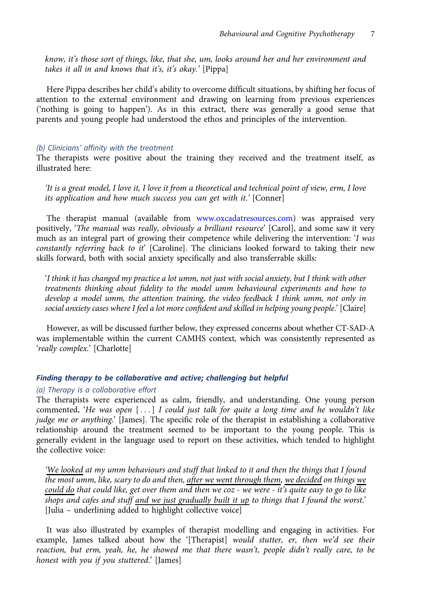know, it's those sort of things, like, that she, um, looks around her and her environment and takes it all in and knows that it's, it's okay.' [Pippa]

Here Pippa describes her child's ability to overcome difficult situations, by shifting her focus of attention to the external environment and drawing on learning from previous experiences ('nothing is going to happen'). As in this extract, there was generally a good sense that parents and young people had understood the ethos and principles of the intervention.

## (b) Clinicians' affinity with the treatment

The therapists were positive about the training they received and the treatment itself, as illustrated here:

'It is a great model, I love it, I love it from a theoretical and technical point of view, erm, I love its application and how much success you can get with it.' [Conner]

The therapist manual (available from [www.oxcadatresources.com](http://www.oxcadatresources.com)) was appraised very positively, 'The manual was really, obviously a brilliant resource' [Carol], and some saw it very much as an integral part of growing their competence while delivering the intervention:  $\dot{I}$  was constantly referring back to it' [Caroline]. The clinicians looked forward to taking their new skills forward, both with social anxiety specifically and also transferrable skills:

'I think it has changed my practice a lot umm, not just with social anxiety, but I think with other treatments thinking about fidelity to the model umm behavioural experiments and how to develop a model umm, the attention training, the video feedback I think umm, not only in social anxiety cases where I feel a lot more confident and skilled in helping young people.' [Claire]

However, as will be discussed further below, they expressed concerns about whether CT-SAD-A was implementable within the current CAMHS context, which was consistently represented as 'really complex.' [Charlotte]

# Finding therapy to be collaborative and active; challenging but helpful

## (a) Therapy is a collaborative effort

The therapists were experienced as calm, friendly, and understanding. One young person commented, 'He was open  $[\dots]$  I could just talk for quite a long time and he wouldn't like judge me or anything.' [James]. The specific role of the therapist in establishing a collaborative relationship around the treatment seemed to be important to the young people. This is generally evident in the language used to report on these activities, which tended to highlight the collective voice:

'We looked at my umm behaviours and stuff that linked to it and then the things that I found the most umm, like, scary to do and then, after we went through them, we decided on things we could do that could like, get over them and then we coz - we were - it's quite easy to go to like shops and cafes and stuff and we just gradually built it up to things that I found the worst.' [Julia – underlining added to highlight collective voice]

It was also illustrated by examples of therapist modelling and engaging in activities. For example, James talked about how the '[Therapist] would stutter, er, then we'd see their reaction, but erm, yeah, he, he showed me that there wasn't, people didn't really care, to be honest with you if you stuttered.' [James]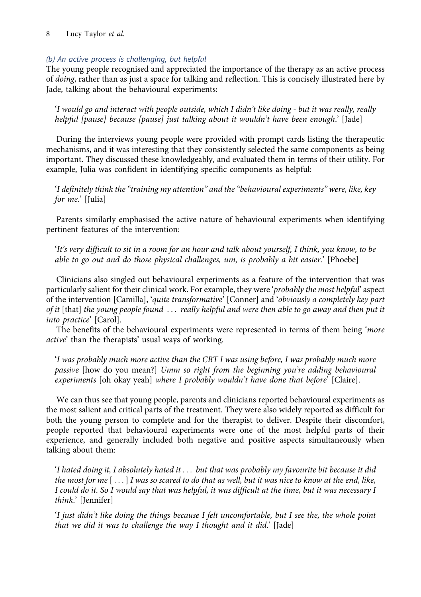# 8 Lucy Taylor et al.

# (b) An active process is challenging, but helpful

The young people recognised and appreciated the importance of the therapy as an active process of doing, rather than as just a space for talking and reflection. This is concisely illustrated here by Jade, talking about the behavioural experiments:

'I would go and interact with people outside, which I didn't like doing - but it was really, really helpful [pause] because [pause] just talking about it wouldn't have been enough.' [Jade]

During the interviews young people were provided with prompt cards listing the therapeutic mechanisms, and it was interesting that they consistently selected the same components as being important. They discussed these knowledgeably, and evaluated them in terms of their utility. For example, Julia was confident in identifying specific components as helpful:

'I definitely think the "training my attention" and the "behavioural experiments" were, like, key for me.' [Julia]

Parents similarly emphasised the active nature of behavioural experiments when identifying pertinent features of the intervention:

'It's very difficult to sit in a room for an hour and talk about yourself, I think, you know, to be able to go out and do those physical challenges, um, is probably a bit easier.' [Phoebe]

Clinicians also singled out behavioural experiments as a feature of the intervention that was particularly salient for their clinical work. For example, they were 'probably the most helpful' aspect of the intervention [Camilla], 'quite transformative' [Conner] and 'obviously a completely key part of it [that] the young people found ::: really helpful and were then able to go away and then put it into practice' [Carol].

The benefits of the behavioural experiments were represented in terms of them being 'more active' than the therapists' usual ways of working.

'I was probably much more active than the CBT I was using before, I was probably much more passive [how do you mean?] Umm so right from the beginning you're adding behavioural experiments [oh okay yeah] where I probably wouldn't have done that before' [Claire].

We can thus see that young people, parents and clinicians reported behavioural experiments as the most salient and critical parts of the treatment. They were also widely reported as difficult for both the young person to complete and for the therapist to deliver. Despite their discomfort, people reported that behavioural experiments were one of the most helpful parts of their experience, and generally included both negative and positive aspects simultaneously when talking about them:

'I hated doing it, I absolutely hated it . . . but that was probably my favourite bit because it did the most for me  $[\ldots]$  I was so scared to do that as well, but it was nice to know at the end, like, I could do it. So I would say that was helpful, it was difficult at the time, but it was necessary I think.' [Jennifer]

'I just didn't like doing the things because I felt uncomfortable, but I see the, the whole point that we did it was to challenge the way I thought and it did.' [Jade]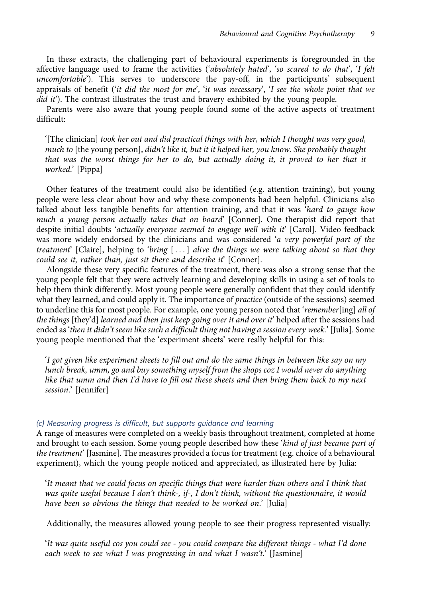In these extracts, the challenging part of behavioural experiments is foregrounded in the affective language used to frame the activities ('absolutely hated', 'so scared to do that', 'I felt uncomfortable'). This serves to underscore the pay-off, in the participants' subsequent appraisals of benefit ('it did the most for me', 'it was necessary', 'I see the whole point that we  $did$  it). The contrast illustrates the trust and bravery exhibited by the young people.

Parents were also aware that young people found some of the active aspects of treatment difficult:

'[The clinician] took her out and did practical things with her, which I thought was very good, much to [the young person], didn't like it, but it it helped her, you know. She probably thought that was the worst things for her to do, but actually doing it, it proved to her that it worked.' [Pippa]

Other features of the treatment could also be identified (e.g. attention training), but young people were less clear about how and why these components had been helpful. Clinicians also talked about less tangible benefits for attention training, and that it was 'hard to gauge how much a young person actually takes that on board' [Conner]. One therapist did report that despite initial doubts 'actually everyone seemed to engage well with it' [Carol]. Video feedback was more widely endorsed by the clinicians and was considered 'a very powerful part of the treatment' [Claire], helping to 'bring  $[\,\dots\,]$  alive the things we were talking about so that they could see it, rather than, just sit there and describe it' [Conner].

Alongside these very specific features of the treatment, there was also a strong sense that the young people felt that they were actively learning and developing skills in using a set of tools to help them think differently. Most young people were generally confident that they could identify what they learned, and could apply it. The importance of *practice* (outside of the sessions) seemed to underline this for most people. For example, one young person noted that 'remember[ing] all of the things [they'd] learned and then just keep going over it and over it' helped after the sessions had ended as 'then it didn't seem like such a difficult thing not having a session every week.' [Julia]. Some young people mentioned that the 'experiment sheets' were really helpful for this:

'I got given like experiment sheets to fill out and do the same things in between like say on my lunch break, umm, go and buy something myself from the shops coz I would never do anything like that umm and then I'd have to fill out these sheets and then bring them back to my next session.' [Jennifer]

# (c) Measuring progress is difficult, but supports guidance and learning

A range of measures were completed on a weekly basis throughout treatment, completed at home and brought to each session. Some young people described how these 'kind of just became part of the treatment' [Jasmine]. The measures provided a focus for treatment (e.g. choice of a behavioural experiment), which the young people noticed and appreciated, as illustrated here by Julia:

'It meant that we could focus on specific things that were harder than others and I think that was quite useful because I don't think-, if-, I don't think, without the questionnaire, it would have been so obvious the things that needed to be worked on.' [Julia]

Additionally, the measures allowed young people to see their progress represented visually:

'It was quite useful cos you could see - you could compare the different things - what I'd done each week to see what I was progressing in and what I wasn't.' [Jasmine]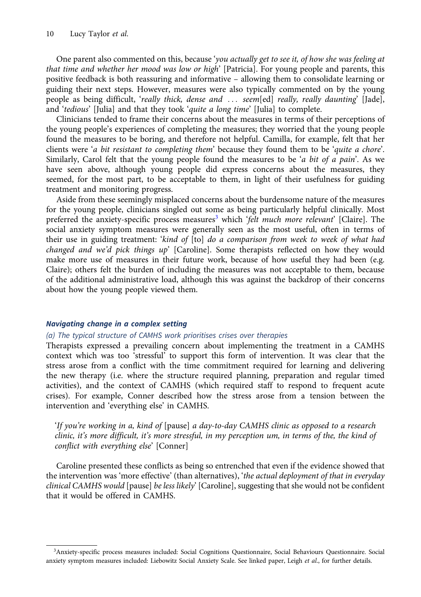One parent also commented on this, because 'you actually get to see it, of how she was feeling at that time and whether her mood was low or high' [Patricia]. For young people and parents, this positive feedback is both reassuring and informative – allowing them to consolidate learning or guiding their next steps. However, measures were also typically commented on by the young people as being difficult, 'really thick, dense and ... seem[ed] really, really daunting' [Jade], and 'tedious' [Julia] and that they took 'quite a long time' [Julia] to complete.

Clinicians tended to frame their concerns about the measures in terms of their perceptions of the young people's experiences of completing the measures; they worried that the young people found the measures to be boring, and therefore not helpful. Camilla, for example, felt that her clients were 'a bit resistant to completing them' because they found them to be 'quite a chore'. Similarly, Carol felt that the young people found the measures to be 'a bit of a pain'. As we have seen above, although young people did express concerns about the measures, they seemed, for the most part, to be acceptable to them, in light of their usefulness for guiding treatment and monitoring progress.

Aside from these seemingly misplaced concerns about the burdensome nature of the measures for the young people, clinicians singled out some as being particularly helpful clinically. Most preferred the anxiety-specific process measures<sup>3</sup> which 'felt much more relevant' [Claire]. The social anxiety symptom measures were generally seen as the most useful, often in terms of their use in guiding treatment: 'kind of [to] do a comparison from week to week of what had changed and we'd pick things  $up$  [Caroline]. Some therapists reflected on how they would make more use of measures in their future work, because of how useful they had been (e.g. Claire); others felt the burden of including the measures was not acceptable to them, because of the additional administrative load, although this was against the backdrop of their concerns about how the young people viewed them.

## Navigating change in a complex setting

## (a) The typical structure of CAMHS work prioritises crises over therapies

Therapists expressed a prevailing concern about implementing the treatment in a CAMHS context which was too 'stressful' to support this form of intervention. It was clear that the stress arose from a conflict with the time commitment required for learning and delivering the new therapy (i.e. where the structure required planning, preparation and regular timed activities), and the context of CAMHS (which required staff to respond to frequent acute crises). For example, Conner described how the stress arose from a tension between the intervention and 'everything else' in CAMHS.

'If you're working in a, kind of [pause] a day-to-day CAMHS clinic as opposed to a research clinic, it's more difficult, it's more stressful, in my perception um, in terms of the, the kind of conflict with everything else' [Conner]

Caroline presented these conflicts as being so entrenched that even if the evidence showed that the intervention was 'more effective' (than alternatives), 'the actual deployment of that in everyday clinical CAMHS would [pause] be less likely' [Caroline], suggesting that she would not be confident that it would be offered in CAMHS.

<sup>3</sup> Anxiety-specific process measures included: Social Cognitions Questionnaire, Social Behaviours Questionnaire. Social anxiety symptom measures included: Liebowitz Social Anxiety Scale. See linked paper, Leigh et al., for further details.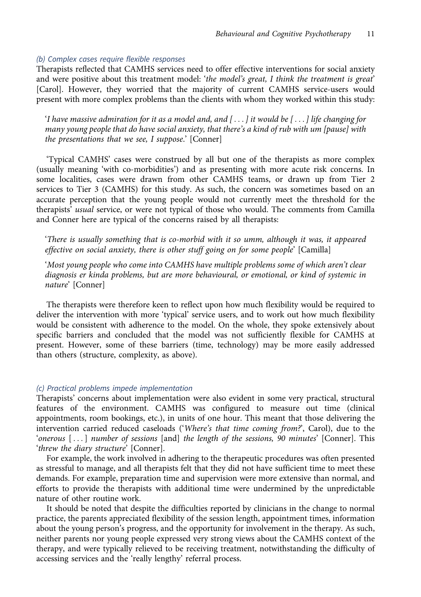## (b) Complex cases require flexible responses

Therapists reflected that CAMHS services need to offer effective interventions for social anxiety and were positive about this treatment model: 'the model's great, I think the treatment is great' [Carol]. However, they worried that the majority of current CAMHS service-users would present with more complex problems than the clients with whom they worked within this study:

'I have massive admiration for it as a model and, and  $[\ldots]$  it would be  $[\ldots]$  life changing for many young people that do have social anxiety, that there's a kind of rub with um [pause] with the presentations that we see, I suppose.' [Conner]

'Typical CAMHS' cases were construed by all but one of the therapists as more complex (usually meaning 'with co-morbidities') and as presenting with more acute risk concerns. In some localities, cases were drawn from other CAMHS teams, or drawn up from Tier 2 services to Tier 3 (CAMHS) for this study. As such, the concern was sometimes based on an accurate perception that the young people would not currently meet the threshold for the therapists' usual service, or were not typical of those who would. The comments from Camilla and Conner here are typical of the concerns raised by all therapists:

'There is usually something that is co-morbid with it so umm, although it was, it appeared effective on social anxiety, there is other stuff going on for some people' [Camilla]

'Most young people who come into CAMHS have multiple problems some of which aren't clear diagnosis er kinda problems, but are more behavioural, or emotional, or kind of systemic in nature' [Conner]

The therapists were therefore keen to reflect upon how much flexibility would be required to deliver the intervention with more 'typical' service users, and to work out how much flexibility would be consistent with adherence to the model. On the whole, they spoke extensively about specific barriers and concluded that the model was not sufficiently flexible for CAMHS at present. However, some of these barriers (time, technology) may be more easily addressed than others (structure, complexity, as above).

#### (c) Practical problems impede implementation

Therapists' concerns about implementation were also evident in some very practical, structural features of the environment. CAMHS was configured to measure out time (clinical appointments, room bookings, etc.), in units of one hour. This meant that those delivering the intervention carried reduced caseloads ('Where's that time coming from?', Carol), due to the 'onerous  $[\ldots]$  number of sessions [and] the length of the sessions, 90 minutes' [Conner]. This 'threw the diary structure' [Conner].

For example, the work involved in adhering to the therapeutic procedures was often presented as stressful to manage, and all therapists felt that they did not have sufficient time to meet these demands. For example, preparation time and supervision were more extensive than normal, and efforts to provide the therapists with additional time were undermined by the unpredictable nature of other routine work.

It should be noted that despite the difficulties reported by clinicians in the change to normal practice, the parents appreciated flexibility of the session length, appointment times, information about the young person's progress, and the opportunity for involvement in the therapy. As such, neither parents nor young people expressed very strong views about the CAMHS context of the therapy, and were typically relieved to be receiving treatment, notwithstanding the difficulty of accessing services and the 'really lengthy' referral process.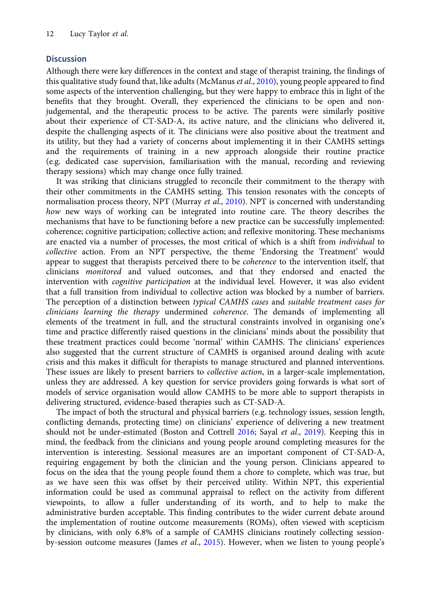# **Discussion**

Although there were key differences in the context and stage of therapist training, the findings of this qualitative study found that, like adults (McManus et al., [2010](#page-14-0)), young people appeared to find some aspects of the intervention challenging, but they were happy to embrace this in light of the benefits that they brought. Overall, they experienced the clinicians to be open and nonjudgemental, and the therapeutic process to be active. The parents were similarly positive about their experience of CT-SAD-A, its active nature, and the clinicians who delivered it, despite the challenging aspects of it. The clinicians were also positive about the treatment and its utility, but they had a variety of concerns about implementing it in their CAMHS settings and the requirements of training in a new approach alongside their routine practice (e.g. dedicated case supervision, familiarisation with the manual, recording and reviewing therapy sessions) which may change once fully trained.

It was striking that clinicians struggled to reconcile their commitment to the therapy with their other commitments in the CAMHS setting. This tension resonates with the concepts of normalisation process theory, NPT (Murray et al., [2010\)](#page-14-0). NPT is concerned with understanding how new ways of working can be integrated into routine care. The theory describes the mechanisms that have to be functioning before a new practice can be successfully implemented: coherence; cognitive participation; collective action; and reflexive monitoring. These mechanisms are enacted via a number of processes, the most critical of which is a shift from *individual* to collective action. From an NPT perspective, the theme 'Endorsing the Treatment' would appear to suggest that therapists perceived there to be *coherence* to the intervention itself, that clinicians monitored and valued outcomes, and that they endorsed and enacted the intervention with *cognitive participation* at the individual level. However, it was also evident that a full transition from individual to collective action was blocked by a number of barriers. The perception of a distinction between typical CAMHS cases and suitable treatment cases for clinicians learning the therapy undermined coherence. The demands of implementing all elements of the treatment in full, and the structural constraints involved in organising one's time and practice differently raised questions in the clinicians' minds about the possibility that these treatment practices could become 'normal' within CAMHS. The clinicians' experiences also suggested that the current structure of CAMHS is organised around dealing with acute crisis and this makes it difficult for therapists to manage structured and planned interventions. These issues are likely to present barriers to *collective action*, in a larger-scale implementation, unless they are addressed. A key question for service providers going forwards is what sort of models of service organisation would allow CAMHS to be more able to support therapists in delivering structured, evidence-based therapies such as CT-SAD-A.

The impact of both the structural and physical barriers (e.g. technology issues, session length, conflicting demands, protecting time) on clinicians' experience of delivering a new treatment should not be under-estimated (Boston and Cottrell [2016](#page-13-0); Sayal et al., [2019](#page-14-0)). Keeping this in mind, the feedback from the clinicians and young people around completing measures for the intervention is interesting. Sessional measures are an important component of CT-SAD-A, requiring engagement by both the clinician and the young person. Clinicians appeared to focus on the idea that the young people found them a chore to complete, which was true, but as we have seen this was offset by their perceived utility. Within NPT, this experiential information could be used as communal appraisal to reflect on the activity from different viewpoints, to allow a fuller understanding of its worth, and to help to make the administrative burden acceptable. This finding contributes to the wider current debate around the implementation of routine outcome measurements (ROMs), often viewed with scepticism by clinicians, with only 6.8% of a sample of CAMHS clinicians routinely collecting session-by-session outcome measures (James et al., [2015](#page-13-0)). However, when we listen to young people's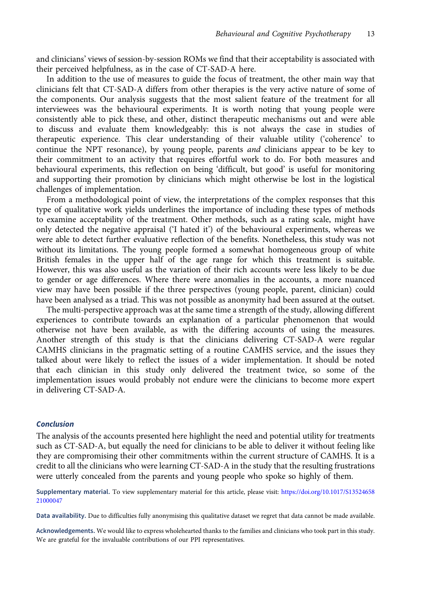and clinicians' views of session-by-session ROMs we find that their acceptability is associated with their perceived helpfulness, as in the case of CT-SAD-A here.

In addition to the use of measures to guide the focus of treatment, the other main way that clinicians felt that CT-SAD-A differs from other therapies is the very active nature of some of the components. Our analysis suggests that the most salient feature of the treatment for all interviewees was the behavioural experiments. It is worth noting that young people were consistently able to pick these, and other, distinct therapeutic mechanisms out and were able to discuss and evaluate them knowledgeably: this is not always the case in studies of therapeutic experience. This clear understanding of their valuable utility ('coherence' to continue the NPT resonance), by young people, parents and clinicians appear to be key to their commitment to an activity that requires effortful work to do. For both measures and behavioural experiments, this reflection on being 'difficult, but good' is useful for monitoring and supporting their promotion by clinicians which might otherwise be lost in the logistical challenges of implementation.

From a methodological point of view, the interpretations of the complex responses that this type of qualitative work yields underlines the importance of including these types of methods to examine acceptability of the treatment. Other methods, such as a rating scale, might have only detected the negative appraisal ('I hated it') of the behavioural experiments, whereas we were able to detect further evaluative reflection of the benefits. Nonetheless, this study was not without its limitations. The young people formed a somewhat homogeneous group of white British females in the upper half of the age range for which this treatment is suitable. However, this was also useful as the variation of their rich accounts were less likely to be due to gender or age differences. Where there were anomalies in the accounts, a more nuanced view may have been possible if the three perspectives (young people, parent, clinician) could have been analysed as a triad. This was not possible as anonymity had been assured at the outset.

The multi-perspective approach was at the same time a strength of the study, allowing different experiences to contribute towards an explanation of a particular phenomenon that would otherwise not have been available, as with the differing accounts of using the measures. Another strength of this study is that the clinicians delivering CT-SAD-A were regular CAMHS clinicians in the pragmatic setting of a routine CAMHS service, and the issues they talked about were likely to reflect the issues of a wider implementation. It should be noted that each clinician in this study only delivered the treatment twice, so some of the implementation issues would probably not endure were the clinicians to become more expert in delivering CT-SAD-A.

## Conclusion

The analysis of the accounts presented here highlight the need and potential utility for treatments such as CT-SAD-A, but equally the need for clinicians to be able to deliver it without feeling like they are compromising their other commitments within the current structure of CAMHS. It is a credit to all the clinicians who were learning CT-SAD-A in the study that the resulting frustrations were utterly concealed from the parents and young people who spoke so highly of them.

Supplementary material. To view supplementary material for this article, please visit: [https://doi.org/10.1017/S13524658](https://doi.org/10.1017/S1352465821000047) [21000047](https://doi.org/10.1017/S1352465821000047)

Data availability. Due to difficulties fully anonymising this qualitative dataset we regret that data cannot be made available.

Acknowledgements. We would like to express wholehearted thanks to the families and clinicians who took part in this study. We are grateful for the invaluable contributions of our PPI representatives.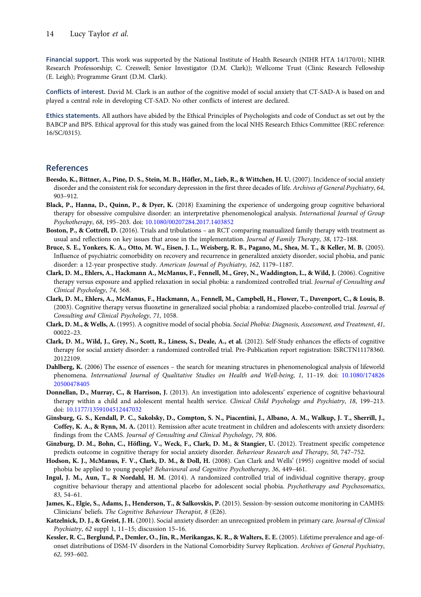<span id="page-13-0"></span>Financial support. This work was supported by the National Institute of Health Research (NIHR HTA 14/170/01; NIHR Research Professorship; C. Creswell; Senior Investigator (D.M. Clark)); Wellcome Trust (Clinic Research Fellowship (E. Leigh); Programme Grant (D.M. Clark).

Conflicts of interest. David M. Clark is an author of the cognitive model of social anxiety that CT-SAD-A is based on and played a central role in developing CT-SAD. No other conflicts of interest are declared.

Ethics statements. All authors have abided by the Ethical Principles of Psychologists and code of Conduct as set out by the BABCP and BPS. Ethical approval for this study was gained from the local NHS Research Ethics Committee (REC reference: 16/SC/0315).

# References

- Beesdo, K., Bittner, A., Pine, D. S., Stein, M. B., Höfler, M., Lieb, R., & Wittchen, H. U. (2007). Incidence of social anxiety disorder and the consistent risk for secondary depression in the first three decades of life. Archives of General Psychiatry, 64, 903–912.
- Black, P., Hanna, D., Quinn, P., & Dyer, K. (2018) Examining the experience of undergoing group cognitive behavioral therapy for obsessive compulsive disorder: an interpretative phenomenological analysis. International Journal of Group Psychotherapy, 68, 195–203. doi: [10.1080/00207284.2017.1403852](https://doi.org/10.1080/00207284.2017.1403852)
- Boston, P., & Cottrell, D. (2016). Trials and tribulations an RCT comparing manualized family therapy with treatment as usual and reflections on key issues that arose in the implementation. Journal of Family Therapy, 38, 172–188.
- Bruce, S. E., Yonkers, K. A., Otto, M. W., Eisen, J. L., Weisberg, R. B., Pagano, M., Shea, M. T., & Keller, M. B. (2005). Influence of psychiatric comorbidity on recovery and recurrence in generalized anxiety disorder, social phobia, and panic disorder: a 12-year prospective study. American Journal of Psychiatry, 162, 1179–1187.
- Clark, D. M., Ehlers, A., Hackmann A., McManus, F., Fennell, M., Grey, N., Waddington, L., & Wild, J. (2006). Cognitive therapy versus exposure and applied relaxation in social phobia: a randomized controlled trial. Journal of Consulting and Clinical Psychology, 74, 568.
- Clark, D. M., Ehlers, A., McManus, F., Hackmann, A., Fennell, M., Campbell, H., Flower, T., Davenport, C., & Louis, B. (2003). Cognitive therapy versus fluoxetine in generalized social phobia: a randomized placebo-controlled trial. Journal of Consulting and Clinical Psychology, 71, 1058.
- Clark, D. M., & Wells, A. (1995). A cognitive model of social phobia. Social Phobia: Diagnosis, Assessment, and Treatment, 41, 00022–23.
- Clark, D. M., Wild, J., Grey, N., Scott, R., Liness, S., Deale, A., et al. (2012). Self-Study enhances the effects of cognitive therapy for social anxiety disorder: a randomized controlled trial. Pre-Publication report registration: ISRCTN11178360. 20122109.
- Dahlberg, K. (2006) The essence of essences the search for meaning structures in phenomenological analysis of lifeworld phenomena. International Journal of Qualitative Studies on Health and Well-being, 1, 11–19. doi: [10.1080/174826](https://doi.org/10.1080/17482620500478405) [20500478405](https://doi.org/10.1080/17482620500478405)
- Donnellan, D., Murray, C., & Harrison, J. (2013). An investigation into adolescents' experience of cognitive behavioural therapy within a child and adolescent mental health service. Clinical Child Psychology and Psychiatry, 18, 199-213. doi: [10.1177/1359104512447032](https://doi.org/10.1177/1359104512447032)
- Ginsburg, G. S., Kendall, P. C., Sakolsky, D., Compton, S. N., Piacentini, J., Albano, A. M., Walkup, J. T., Sherrill, J., Coffey, K. A., & Rynn, M. A. (2011). Remission after acute treatment in children and adolescents with anxiety disorders: findings from the CAMS. Journal of Consulting and Clinical Psychology, 79, 806.
- Ginzburg, D. M., Bohn, C., Höfling, V., Weck, F., Clark, D. M., & Stangier, U. (2012). Treatment specific competence predicts outcome in cognitive therapy for social anxiety disorder. Behaviour Research and Therapy, 50, 747–752.
- Hodson, K. J., McManus, F. V., Clark, D. M., & Doll, H. (2008). Can Clark and Wells' (1995) cognitive model of social phobia be applied to young people? Behavioural and Cognitive Psychotherapy, 36, 449–461.
- Ingul, J. M., Aun, T., & Nordahl, H. M. (2014). A randomized controlled trial of individual cognitive therapy, group cognitive behaviour therapy and attentional placebo for adolescent social phobia. Psychotherapy and Psychosomatics, 83, 54–61.
- James, K., Elgie, S., Adams, J., Henderson, T., & Salkovskis, P. (2015). Session-by-session outcome monitoring in CAMHS: Clinicians' beliefs. The Cognitive Behaviour Therapist, 8 (E26).
- Katzelnick, D. J., & Greist, J. H. (2001). Social anxiety disorder: an unrecognized problem in primary care. Journal of Clinical Psychiatry, 62 suppl 1, 11–15; discussion 15–16.
- Kessler, R. C., Berglund, P., Demler, O., Jin, R., Merikangas, K. R., & Walters, E. E. (2005). Lifetime prevalence and age-ofonset distributions of DSM-IV disorders in the National Comorbidity Survey Replication. Archives of General Psychiatry, 62, 593–602.